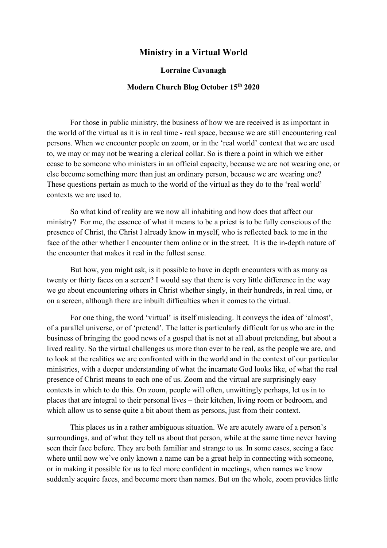## **Ministry in a Virtual World**

## **Lorraine Cavanagh**

## **Modern Church Blog October 15th 2020**

For those in public ministry, the business of how we are received is as important in the world of the virtual as it is in real time - real space, because we are still encountering real persons. When we encounter people on zoom, or in the 'real world' context that we are used to, we may or may not be wearing a clerical collar. So is there a point in which we either cease to be someone who ministers in an official capacity, because we are not wearing one, or else become something more than just an ordinary person, because we are wearing one? These questions pertain as much to the world of the virtual as they do to the 'real world' contexts we are used to.

So what kind of reality are we now all inhabiting and how does that affect our ministry? For me, the essence of what it means to be a priest is to be fully conscious of the presence of Christ, the Christ I already know in myself, who is reflected back to me in the face of the other whether I encounter them online or in the street. It is the in-depth nature of the encounter that makes it real in the fullest sense.

But how, you might ask, is it possible to have in depth encounters with as many as twenty or thirty faces on a screen? I would say that there is very little difference in the way we go about encountering others in Christ whether singly, in their hundreds, in real time, or on a screen, although there are inbuilt difficulties when it comes to the virtual.

For one thing, the word 'virtual' is itself misleading. It conveys the idea of 'almost', of a parallel universe, or of 'pretend'. The latter is particularly difficult for us who are in the business of bringing the good news of a gospel that is not at all about pretending, but about a lived reality. So the virtual challenges us more than ever to be real, as the people we are, and to look at the realities we are confronted with in the world and in the context of our particular ministries, with a deeper understanding of what the incarnate God looks like, of what the real presence of Christ means to each one of us. Zoom and the virtual are surprisingly easy contexts in which to do this. On zoom, people will often, unwittingly perhaps, let us in to places that are integral to their personal lives – their kitchen, living room or bedroom, and which allow us to sense quite a bit about them as persons, just from their context.

This places us in a rather ambiguous situation. We are acutely aware of a person's surroundings, and of what they tell us about that person, while at the same time never having seen their face before. They are both familiar and strange to us. In some cases, seeing a face where until now we've only known a name can be a great help in connecting with someone, or in making it possible for us to feel more confident in meetings, when names we know suddenly acquire faces, and become more than names. But on the whole, zoom provides little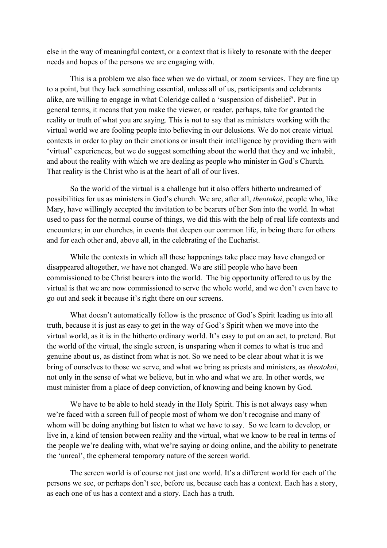else in the way of meaningful context, or a context that is likely to resonate with the deeper needs and hopes of the persons we are engaging with.

This is a problem we also face when we do virtual, or zoom services. They are fine up to a point, but they lack something essential, unless all of us, participants and celebrants alike, are willing to engage in what Coleridge called a 'suspension of disbelief'. Put in general terms, it means that you make the viewer, or reader, perhaps, take for granted the reality or truth of what you are saying. This is not to say that as ministers working with the virtual world we are fooling people into believing in our delusions. We do not create virtual contexts in order to play on their emotions or insult their intelligence by providing them with 'virtual' experiences, but we do suggest something about the world that they and we inhabit, and about the reality with which we are dealing as people who minister in God's Church. That reality is the Christ who is at the heart of all of our lives.

So the world of the virtual is a challenge but it also offers hitherto undreamed of possibilities for us as ministers in God's church. We are, after all, *theotokoi*, people who, like Mary, have willingly accepted the invitation to be bearers of her Son into the world. In what used to pass for the normal course of things, we did this with the help of real life contexts and encounters; in our churches, in events that deepen our common life, in being there for others and for each other and, above all, in the celebrating of the Eucharist.

While the contexts in which all these happenings take place may have changed or disappeared altogether, *we* have not changed. We are still people who have been commissioned to be Christ bearers into the world. The big opportunity offered to us by the virtual is that we are now commissioned to serve the whole world, and we don't even have to go out and seek it because it's right there on our screens.

What doesn't automatically follow is the presence of God's Spirit leading us into all truth, because it is just as easy to get in the way of God's Spirit when we move into the virtual world, as it is in the hitherto ordinary world. It's easy to put on an act, to pretend. But the world of the virtual, the single screen, is unsparing when it comes to what is true and genuine about us, as distinct from what is not. So we need to be clear about what it is we bring of ourselves to those we serve, and what we bring as priests and ministers, as *theotokoi*, not only in the sense of what we believe, but in who and what we are. In other words, we must minister from a place of deep conviction, of knowing and being known by God.

We have to be able to hold steady in the Holy Spirit. This is not always easy when we're faced with a screen full of people most of whom we don't recognise and many of whom will be doing anything but listen to what we have to say. So we learn to develop, or live in, a kind of tension between reality and the virtual, what we know to be real in terms of the people we're dealing with, what we're saying or doing online, and the ability to penetrate the 'unreal', the ephemeral temporary nature of the screen world.

The screen world is of course not just one world. It's a different world for each of the persons we see, or perhaps don't see, before us, because each has a context. Each has a story, as each one of us has a context and a story. Each has a truth.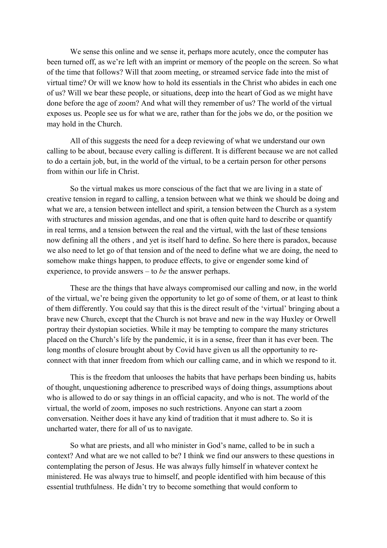We sense this online and we sense it, perhaps more acutely, once the computer has been turned off, as we're left with an imprint or memory of the people on the screen. So what of the time that follows? Will that zoom meeting, or streamed service fade into the mist of virtual time? Or will we know how to hold its essentials in the Christ who abides in each one of us? Will we bear these people, or situations, deep into the heart of God as we might have done before the age of zoom? And what will they remember of us? The world of the virtual exposes us. People see us for what we are, rather than for the jobs we do, or the position we may hold in the Church.

All of this suggests the need for a deep reviewing of what we understand our own calling to be about, because every calling is different. It is different because we are not called to do a certain job, but, in the world of the virtual, to be a certain person for other persons from within our life in Christ.

So the virtual makes us more conscious of the fact that we are living in a state of creative tension in regard to calling, a tension between what we think we should be doing and what we are, a tension between intellect and spirit, a tension between the Church as a system with structures and mission agendas, and one that is often quite hard to describe or quantify in real terms, and a tension between the real and the virtual, with the last of these tensions now defining all the others , and yet is itself hard to define. So here there is paradox, because we also need to let go of that tension and of the need to define what we are doing, the need to somehow make things happen, to produce effects, to give or engender some kind of experience, to provide answers – to *be* the answer perhaps.

These are the things that have always compromised our calling and now, in the world of the virtual, we're being given the opportunity to let go of some of them, or at least to think of them differently. You could say that this is the direct result of the 'virtual' bringing about a brave new Church, except that the Church is not brave and new in the way Huxley or Orwell portray their dystopian societies. While it may be tempting to compare the many strictures placed on the Church's life by the pandemic, it is in a sense, freer than it has ever been. The long months of closure brought about by Covid have given us all the opportunity to reconnect with that inner freedom from which our calling came, and in which we respond to it.

This is the freedom that unlooses the habits that have perhaps been binding us, habits of thought, unquestioning adherence to prescribed ways of doing things, assumptions about who is allowed to do or say things in an official capacity, and who is not. The world of the virtual, the world of zoom, imposes no such restrictions. Anyone can start a zoom conversation. Neither does it have any kind of tradition that it must adhere to. So it is uncharted water, there for all of us to navigate.

So what are priests, and all who minister in God's name, called to be in such a context? And what are we not called to be? I think we find our answers to these questions in contemplating the person of Jesus. He was always fully himself in whatever context he ministered. He was always true to himself, and people identified with him because of this essential truthfulness. He didn't try to become something that would conform to